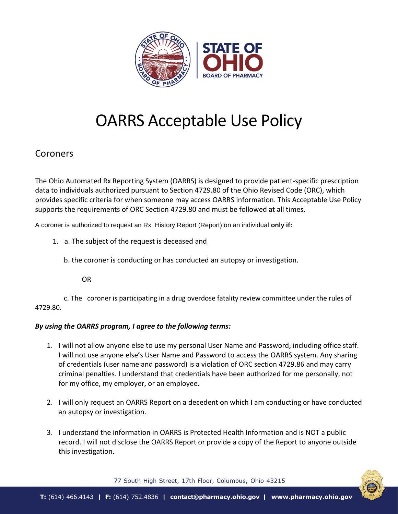

## OARRS Acceptable Use Policy

## **Coroners**

The Ohio Automated Rx Reporting System (OARRS) is designed to provide patient-specific prescription data to individuals authorized pursuant to Section 4729.80 of the Ohio Revised Code (ORC), which provides specific criteria for when someone may access OARRS information. This Acceptable Use Policy supports the requirements of ORC Section 4729.80 and must be followed at all times.

A coroner is authorized to request an Rx History Report (Report) on an individual **only if:**

1. a. The subject of the request is deceased and

b. the coroner is conducting or has conducted an autopsy or investigation.

OR

 c. The coroner is participating in a drug overdose fatality review committee under the rules of 4729.80.

## *By using the OARRS program, I agree to the following terms:*

- 1. I will not allow anyone else to use my personal User Name and Password, including office staff. I will not use anyone else's User Name and Password to access the OARRS system. Any sharing of credentials (user name and password) is a violation of ORC section 4729.86 and may carry criminal penalties. I understand that credentials have been authorized for me personally, not for my office, my employer, or an employee.
- 2. I will only request an OARRS Report on a decedent on which I am conducting or have conducted an autopsy or investigation.
- 3. I understand the information in OARRS is Protected Health Information and is NOT a public record. I will not disclose the OARRS Report or provide a copy of the Report to anyone outside this investigation.



77 South High Street, 17th Floor, Columbus, Ohio 43215